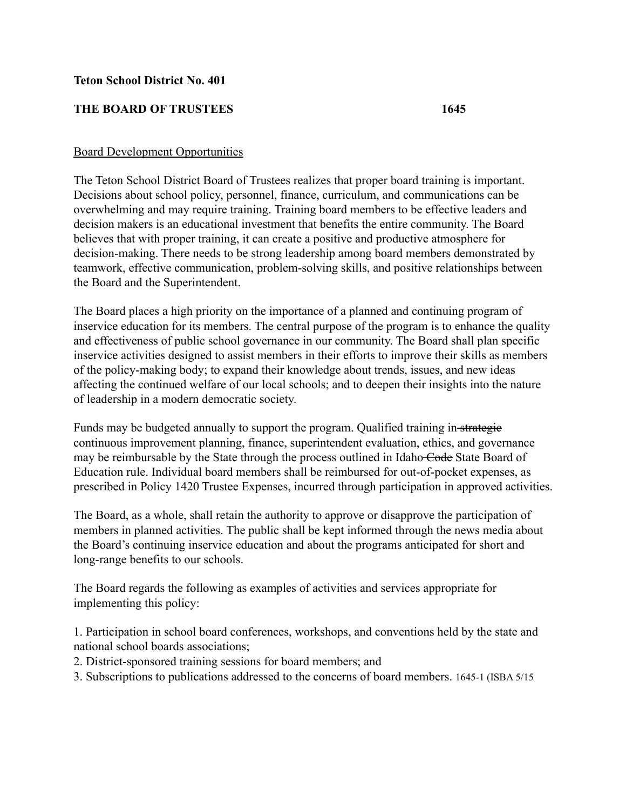## **Teton School District No. 401**

## **THE BOARD OF TRUSTEES 1645**

## Board Development Opportunities

The Teton School District Board of Trustees realizes that proper board training is important. Decisions about school policy, personnel, finance, curriculum, and communications can be overwhelming and may require training. Training board members to be effective leaders and decision makers is an educational investment that benefits the entire community. The Board believes that with proper training, it can create a positive and productive atmosphere for decision-making. There needs to be strong leadership among board members demonstrated by teamwork, effective communication, problem-solving skills, and positive relationships between the Board and the Superintendent.

The Board places a high priority on the importance of a planned and continuing program of inservice education for its members. The central purpose of the program is to enhance the quality and effectiveness of public school governance in our community. The Board shall plan specific inservice activities designed to assist members in their efforts to improve their skills as members of the policy-making body; to expand their knowledge about trends, issues, and new ideas affecting the continued welfare of our local schools; and to deepen their insights into the nature of leadership in a modern democratic society.

Funds may be budgeted annually to support the program. Qualified training in-strategie continuous improvement planning, finance, superintendent evaluation, ethics, and governance may be reimbursable by the State through the process outlined in Idaho Code State Board of Education rule. Individual board members shall be reimbursed for out-of-pocket expenses, as prescribed in Policy 1420 Trustee Expenses, incurred through participation in approved activities.

The Board, as a whole, shall retain the authority to approve or disapprove the participation of members in planned activities. The public shall be kept informed through the news media about the Board's continuing inservice education and about the programs anticipated for short and long-range benefits to our schools.

The Board regards the following as examples of activities and services appropriate for implementing this policy:

1. Participation in school board conferences, workshops, and conventions held by the state and national school boards associations;

- 2. District-sponsored training sessions for board members; and
- 3. Subscriptions to publications addressed to the concerns of board members. 1645-1 (ISBA 5/15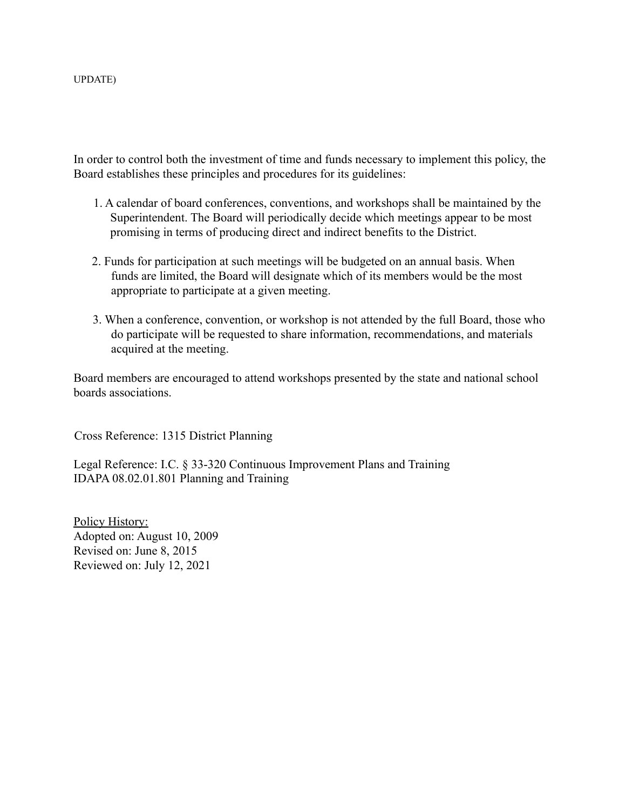In order to control both the investment of time and funds necessary to implement this policy, the Board establishes these principles and procedures for its guidelines:

- 1. A calendar of board conferences, conventions, and workshops shall be maintained by the Superintendent. The Board will periodically decide which meetings appear to be most promising in terms of producing direct and indirect benefits to the District.
- 2. Funds for participation at such meetings will be budgeted on an annual basis. When funds are limited, the Board will designate which of its members would be the most appropriate to participate at a given meeting.
- 3. When a conference, convention, or workshop is not attended by the full Board, those who do participate will be requested to share information, recommendations, and materials acquired at the meeting.

Board members are encouraged to attend workshops presented by the state and national school boards associations.

Cross Reference: 1315 District Planning

Legal Reference: I.C. § 33-320 Continuous Improvement Plans and Training IDAPA 08.02.01.801 Planning and Training

Policy History: Adopted on: August 10, 2009 Revised on: June 8, 2015 Reviewed on: July 12, 2021